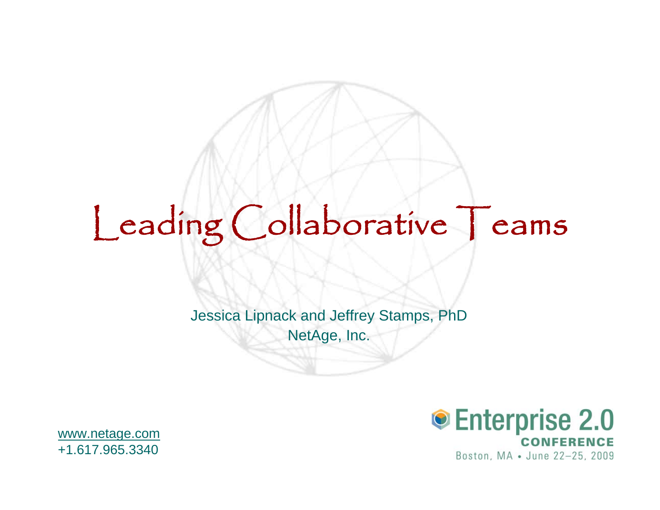# Leading Collaborative Teams

Jessica Lipnack and Jeffrey Stamps, PhD NetAge, Inc.



[www.netage.com](http://www.netage.com/)  +1.617.965.3340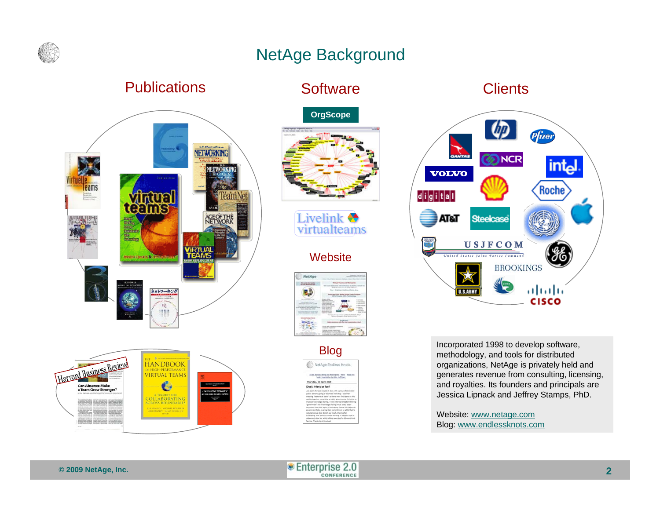

# NetAge Background

#### **Publications**





#### **Software**





#### **Website**



NetAge Endless Knots Tursday, 03 April 2008 Email: friend or foe?

#### **Clients**



Blog Incorporated 1998 to develop software,<br>methodology, and tools for distributed organizations, NetAge is privately held and generates revenue from consulting, licensing, and royalties. Its founders and principals are Jessica Lipnack and Jeffrey Stamps, PhD.

> Blog: <u>www.endlessknots.com</u> Website: [www.netage.com](http://www.netage.com/)

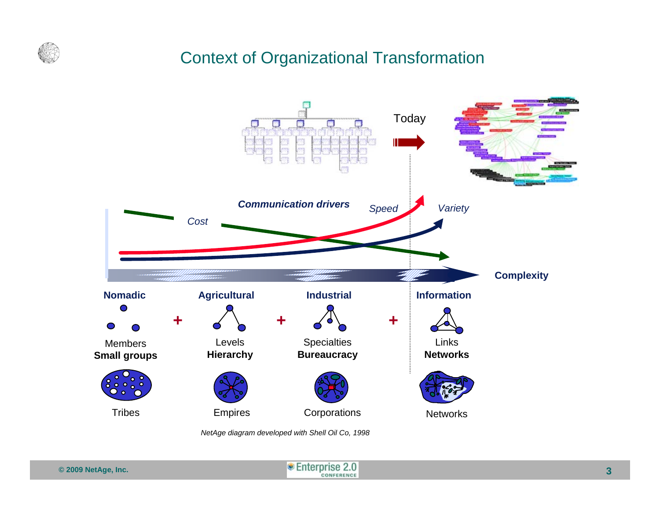

#### Context of Organizational Transformation



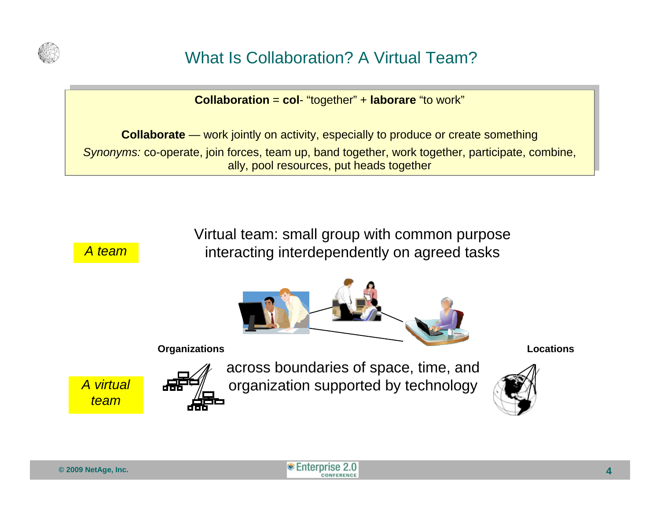

# What Is Collaboration? A Virtual Team?

**Collaboration** = **col**- "together" + **laborare** "to work" **Collaboration** = **col**- "together" + **laborare** "to work"

**Collaborate** — work jointly on activity, especially to produce or create something **Collaborate** — work jointly on activity, especially to produce or create something *Synonyms:* co-operate, join forces, team up, band together, work together, participate, combine, *Synonyms:* co-operate, join forces, team up, band together, work together, participate, combine, ally, pool resources, put heads together ally, pool resources, put heads together

> Virtual team: small group with common purpose interacting interdependently on agreed tasks



*A virtual team*

*A team*



across boundaries of space, time, and organization supported by technology



**© 2007 NetAge, Inc. © 2009 NetAge, Inc.** Knowledge Leadership Forum – www.NetAge.com – October 18, 2007 **4**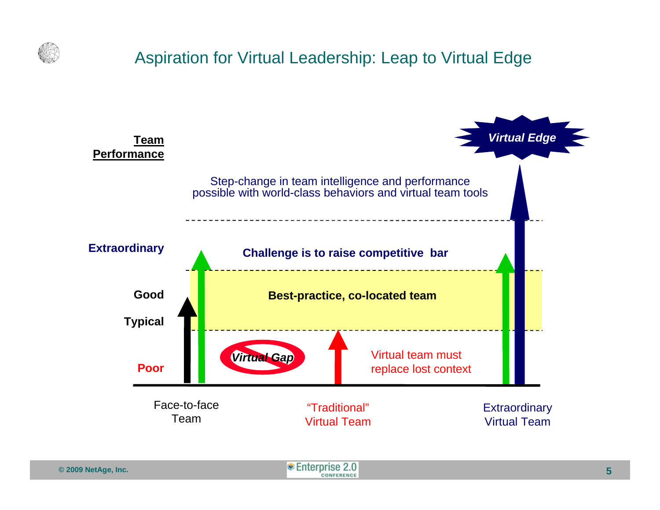

### Aspiration for Virtual Leadership: Leap to Virtual Edge

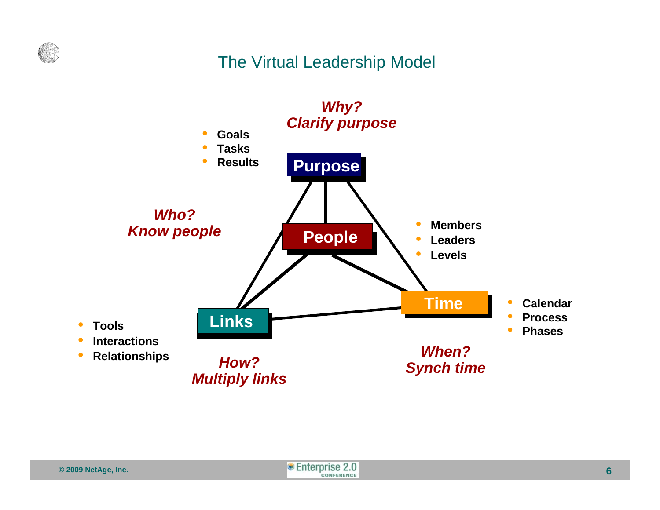

#### The Virtual Leadership Model



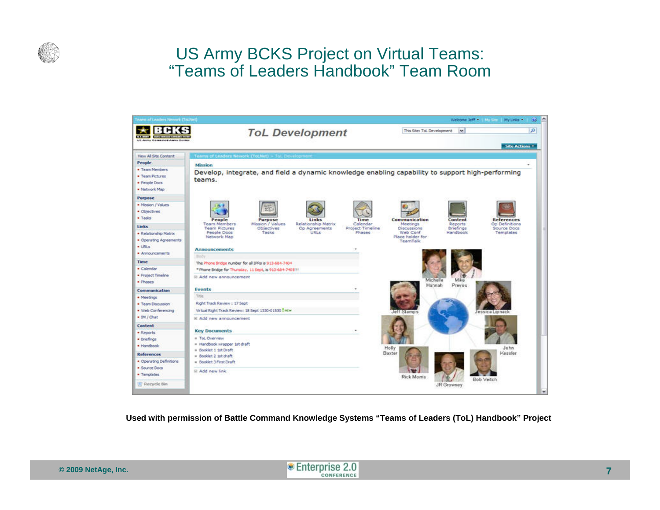

#### US Army BCKS Project on Virtual Teams: "Teams of Leaders Handbook" Team Room



**Used with permission of Battle Command Knowledge Systems "Teams of Leaders (ToL) Handbook" Project**

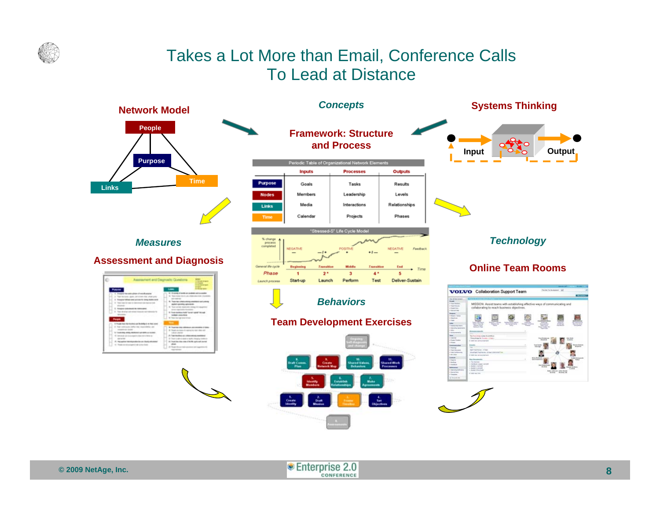

### Takes a Lot More than Email, Conference Calls To Lead at Distance



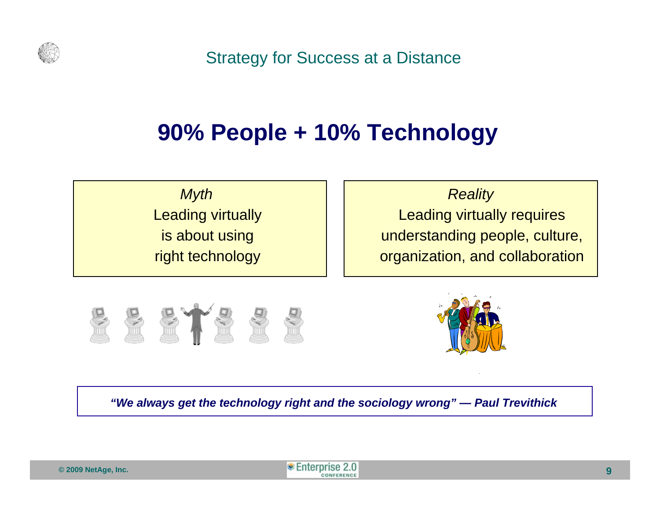

Strategy for Success at a Distance

# **90% People + 10% Technology**

*Myth*  Leading virtually is about using right technology

*Reality* 

Leading virtually requires understanding people, culture, organization, and collaboration





*"We always get the technology right and the sociology wrong" — Paul Trevithick*